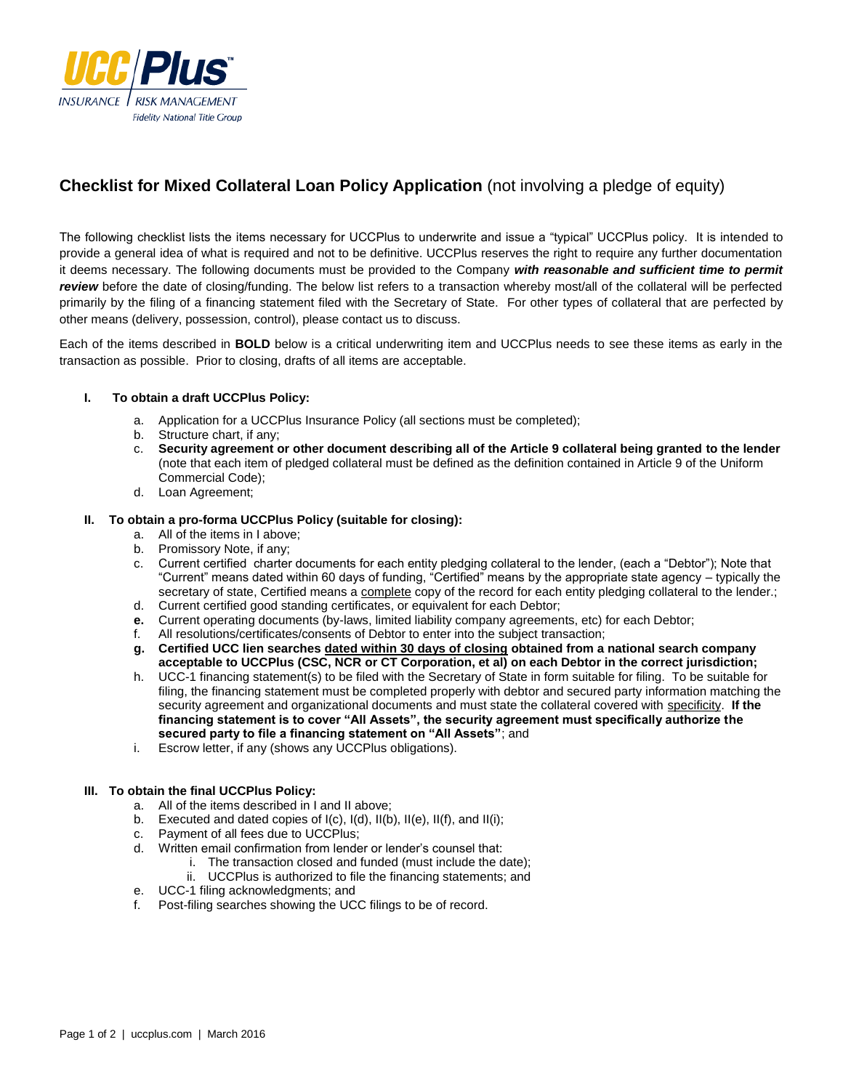

# **Checklist for Mixed Collateral Loan Policy Application** (not involving a pledge of equity)

The following checklist lists the items necessary for UCCPlus to underwrite and issue a "typical" UCCPlus policy. It is intended to provide a general idea of what is required and not to be definitive. UCCPlus reserves the right to require any further documentation it deems necessary. The following documents must be provided to the Company *with reasonable and sufficient time to permit review* before the date of closing/funding. The below list refers to a transaction whereby most/all of the collateral will be perfected primarily by the filing of a financing statement filed with the Secretary of State. For other types of collateral that are perfected by other means (delivery, possession, control), please contact us to discuss.

Each of the items described in **BOLD** below is a critical underwriting item and UCCPlus needs to see these items as early in the transaction as possible. Prior to closing, drafts of all items are acceptable.

### **I. To obtain a draft UCCPlus Policy:**

- a. Application for a UCCPlus Insurance Policy (all sections must be completed);
- Structure chart, if any;
- c. **Security agreement or other document describing all of the Article 9 collateral being granted to the lender** (note that each item of pledged collateral must be defined as the definition contained in Article 9 of the Uniform Commercial Code);
- d. Loan Agreement;

#### **II. To obtain a pro-forma UCCPlus Policy (suitable for closing):**

- a. All of the items in I above;
- b. Promissory Note, if any;
- c. Current certified charter documents for each entity pledging collateral to the lender, (each a "Debtor"); Note that "Current" means dated within 60 days of funding, "Certified" means by the appropriate state agency – typically the secretary of state, Certified means a complete copy of the record for each entity pledging collateral to the lender.;
- d. Current certified good standing certificates, or equivalent for each Debtor;
- **e.** Current operating documents (by-laws, limited liability company agreements, etc) for each Debtor;
- f. All resolutions/certificates/consents of Debtor to enter into the subject transaction;
- **g. Certified UCC lien searches dated within 30 days of closing obtained from a national search company acceptable to UCCPlus (CSC, NCR or CT Corporation, et al) on each Debtor in the correct jurisdiction;**
- h. UCC-1 financing statement(s) to be filed with the Secretary of State in form suitable for filing. To be suitable for filing, the financing statement must be completed properly with debtor and secured party information matching the security agreement and organizational documents and must state the collateral covered with specificity. **If the financing statement is to cover "All Assets", the security agreement must specifically authorize the secured party to file a financing statement on "All Assets"**; and
- i. Escrow letter, if any (shows any UCCPlus obligations).

### **III. To obtain the final UCCPlus Policy:**

- a. All of the items described in I and II above;
- b. Executed and dated copies of I(c), I(d), II(b), II(e), II(f), and II(i);
- c. Payment of all fees due to UCCPlus;
- d. Written email confirmation from lender or lender's counsel that:
	- i. The transaction closed and funded (must include the date);
	- ii. UCCPlus is authorized to file the financing statements; and
- e. UCC-1 filing acknowledgments; and
- f. Post-filing searches showing the UCC filings to be of record.